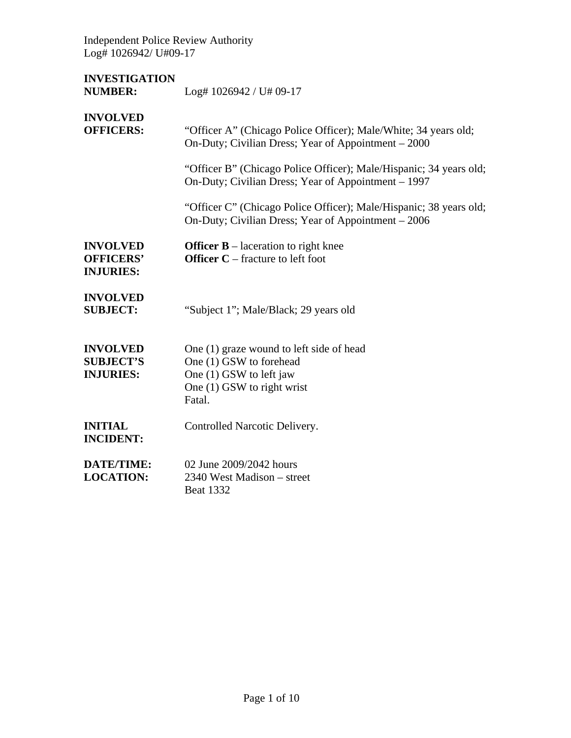Independent Police Review Authority Log# 1026942/ U#09-17

| <b>INVESTIGATION</b><br><b>NUMBER:</b>                  | Log# 1026942 / U# 09-17                                                                                                                |
|---------------------------------------------------------|----------------------------------------------------------------------------------------------------------------------------------------|
| <b>INVOLVED</b><br><b>OFFICERS:</b>                     | "Officer A" (Chicago Police Officer); Male/White; 34 years old;<br>On-Duty; Civilian Dress; Year of Appointment - 2000                 |
|                                                         | "Officer B" (Chicago Police Officer); Male/Hispanic; 34 years old;<br>On-Duty; Civilian Dress; Year of Appointment – 1997              |
|                                                         | "Officer C" (Chicago Police Officer); Male/Hispanic; 38 years old;<br>On-Duty; Civilian Dress; Year of Appointment – 2006              |
| <b>INVOLVED</b><br><b>OFFICERS'</b><br><b>INJURIES:</b> | <b>Officer B</b> – laceration to right knee<br><b>Officer C</b> – fracture to left foot                                                |
| <b>INVOLVED</b><br><b>SUBJECT:</b>                      | "Subject 1"; Male/Black; 29 years old                                                                                                  |
| <b>INVOLVED</b><br><b>SUBJECT'S</b><br><b>INJURIES:</b> | One (1) graze wound to left side of head<br>One (1) GSW to forehead<br>One (1) GSW to left jaw<br>One (1) GSW to right wrist<br>Fatal. |
| <b>INITIAL</b><br><b>INCIDENT:</b>                      | Controlled Narcotic Delivery.                                                                                                          |
| <b>DATE/TIME:</b><br><b>LOCATION:</b>                   | 02 June 2009/2042 hours<br>2340 West Madison – street<br><b>Beat 1332</b>                                                              |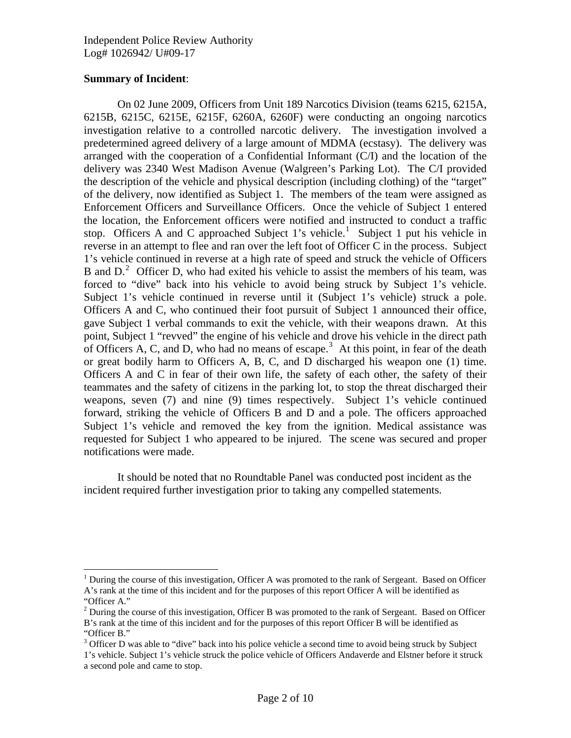## **Summary of Incident**:

 $\overline{a}$ 

On 02 June 2009, Officers from Unit 189 Narcotics Division (teams 6215, 6215A, 6215B, 6215C, 6215E, 6215F, 6260A, 6260F) were conducting an ongoing narcotics investigation relative to a controlled narcotic delivery. The investigation involved a predetermined agreed delivery of a large amount of MDMA (ecstasy). The delivery was arranged with the cooperation of a Confidential Informant (C/I) and the location of the delivery was 2340 West Madison Avenue (Walgreen's Parking Lot). The C/I provided the description of the vehicle and physical description (including clothing) of the "target" of the delivery, now identified as Subject 1. The members of the team were assigned as Enforcement Officers and Surveillance Officers. Once the vehicle of Subject 1 entered the location, the Enforcement officers were notified and instructed to conduct a traffic stop. Officers A and C approached Subject [1](#page-1-0)'s vehicle.<sup>1</sup> Subject 1 put his vehicle in reverse in an attempt to flee and ran over the left foot of Officer C in the process. Subject 1's vehicle continued in reverse at a high rate of speed and struck the vehicle of Officers B and  $D<sup>2</sup>$  $D<sup>2</sup>$  $D<sup>2</sup>$  Officer D, who had exited his vehicle to assist the members of his team, was forced to "dive" back into his vehicle to avoid being struck by Subject 1's vehicle. Subject 1's vehicle continued in reverse until it (Subject 1's vehicle) struck a pole. Officers A and C, who continued their foot pursuit of Subject 1 announced their office, gave Subject 1 verbal commands to exit the vehicle, with their weapons drawn. At this point, Subject 1 "revved" the engine of his vehicle and drove his vehicle in the direct path of Officers A, C, and D, who had no means of escape.<sup>[3](#page-1-2)</sup> At this point, in fear of the death or great bodily harm to Officers A, B, C, and D discharged his weapon one (1) time. Officers A and C in fear of their own life, the safety of each other, the safety of their teammates and the safety of citizens in the parking lot, to stop the threat discharged their weapons, seven (7) and nine (9) times respectively. Subject 1's vehicle continued forward, striking the vehicle of Officers B and D and a pole. The officers approached Subject 1's vehicle and removed the key from the ignition. Medical assistance was requested for Subject 1 who appeared to be injured. The scene was secured and proper notifications were made.

 It should be noted that no Roundtable Panel was conducted post incident as the incident required further investigation prior to taking any compelled statements.

<span id="page-1-0"></span><sup>&</sup>lt;sup>1</sup> During the course of this investigation, Officer A was promoted to the rank of Sergeant. Based on Officer A's rank at the time of this incident and for the purposes of this report Officer A will be identified as "Officer A."

<span id="page-1-1"></span> $2^{2}$  During the course of this investigation, Officer B was promoted to the rank of Sergeant. Based on Officer B's rank at the time of this incident and for the purposes of this report Officer B will be identified as "Officer B."

<sup>&</sup>lt;sup>3</sup> Officer D was able to "dive" back into his police vehicle a second time to avoid being struck by Subject

<span id="page-1-2"></span><sup>1&#</sup>x27;s vehicle. Subject 1's vehicle struck the police vehicle of Officers Andaverde and Elstner before it struck a second pole and came to stop.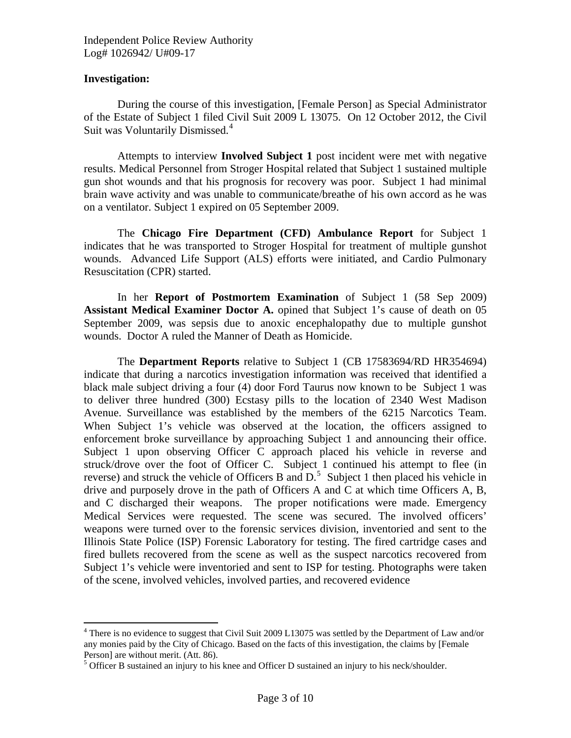## **Investigation:**

 $\overline{a}$ 

 During the course of this investigation, [Female Person] as Special Administrator of the Estate of Subject 1 filed Civil Suit 2009 L 13075. On 12 October 2012, the Civil Suit was Voluntarily Dismissed.<sup>[4](#page-2-0)</sup>

 Attempts to interview **Involved Subject 1** post incident were met with negative results. Medical Personnel from Stroger Hospital related that Subject 1 sustained multiple gun shot wounds and that his prognosis for recovery was poor. Subject 1 had minimal brain wave activity and was unable to communicate/breathe of his own accord as he was on a ventilator. Subject 1 expired on 05 September 2009.

 The **Chicago Fire Department (CFD) Ambulance Report** for Subject 1 indicates that he was transported to Stroger Hospital for treatment of multiple gunshot wounds. Advanced Life Support (ALS) efforts were initiated, and Cardio Pulmonary Resuscitation (CPR) started.

 In her **Report of Postmortem Examination** of Subject 1 (58 Sep 2009) **Assistant Medical Examiner Doctor A.** opined that Subject 1's cause of death on 05 September 2009, was sepsis due to anoxic encephalopathy due to multiple gunshot wounds. Doctor A ruled the Manner of Death as Homicide.

 The **Department Reports** relative to Subject 1 (CB 17583694/RD HR354694) indicate that during a narcotics investigation information was received that identified a black male subject driving a four (4) door Ford Taurus now known to be Subject 1 was to deliver three hundred (300) Ecstasy pills to the location of 2340 West Madison Avenue. Surveillance was established by the members of the 6215 Narcotics Team. When Subject 1's vehicle was observed at the location, the officers assigned to enforcement broke surveillance by approaching Subject 1 and announcing their office. Subject 1 upon observing Officer C approach placed his vehicle in reverse and struck/drove over the foot of Officer C. Subject 1 continued his attempt to flee (in reverse) and struck the vehicle of Officers B and  $D<sup>5</sup>$  $D<sup>5</sup>$  $D<sup>5</sup>$ . Subject 1 then placed his vehicle in drive and purposely drove in the path of Officers A and C at which time Officers A, B, and C discharged their weapons. The proper notifications were made. Emergency Medical Services were requested. The scene was secured. The involved officers' weapons were turned over to the forensic services division, inventoried and sent to the Illinois State Police (ISP) Forensic Laboratory for testing. The fired cartridge cases and fired bullets recovered from the scene as well as the suspect narcotics recovered from Subject 1's vehicle were inventoried and sent to ISP for testing. Photographs were taken of the scene, involved vehicles, involved parties, and recovered evidence

<span id="page-2-0"></span><sup>&</sup>lt;sup>4</sup> There is no evidence to suggest that Civil Suit 2009 L13075 was settled by the Department of Law and/or any monies paid by the City of Chicago. Based on the facts of this investigation, the claims by [Female Person] are without merit. (Att. 86).

<span id="page-2-1"></span> $<sup>5</sup>$  Officer B sustained an injury to his knee and Officer D sustained an injury to his neck/shoulder.</sup>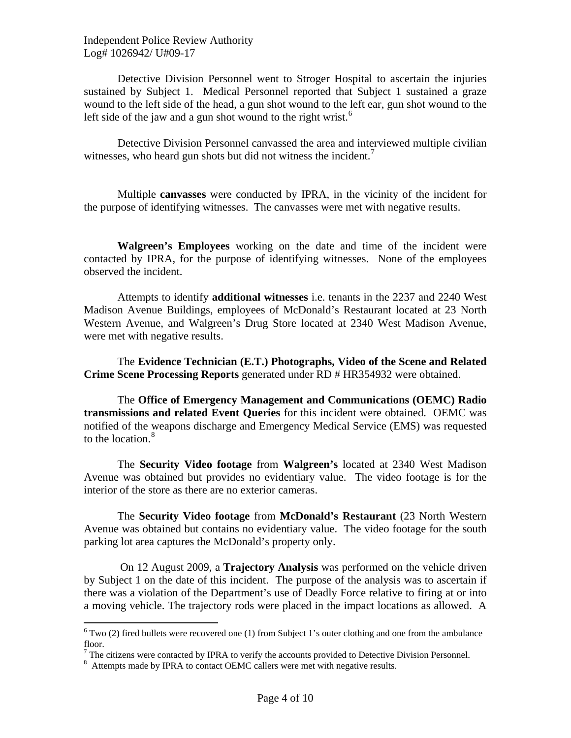Independent Police Review Authority Log# 1026942/ U#09-17

Detective Division Personnel went to Stroger Hospital to ascertain the injuries sustained by Subject 1. Medical Personnel reported that Subject 1 sustained a graze wound to the left side of the head, a gun shot wound to the left ear, gun shot wound to the left side of the jaw and a gun shot wound to the right wrist. $6$ 

 Detective Division Personnel canvassed the area and interviewed multiple civilian witnesses, who heard gun shots but did not witness the incident.<sup>[7](#page-3-1)</sup>

 Multiple **canvasses** were conducted by IPRA, in the vicinity of the incident for the purpose of identifying witnesses. The canvasses were met with negative results.

**Walgreen's Employees** working on the date and time of the incident were contacted by IPRA, for the purpose of identifying witnesses. None of the employees observed the incident.

 Attempts to identify **additional witnesses** i.e. tenants in the 2237 and 2240 West Madison Avenue Buildings, employees of McDonald's Restaurant located at 23 North Western Avenue, and Walgreen's Drug Store located at 2340 West Madison Avenue, were met with negative results.

 The **Evidence Technician (E.T.) Photographs, Video of the Scene and Related Crime Scene Processing Reports** generated under RD # HR354932 were obtained.

 The **Office of Emergency Management and Communications (OEMC) Radio transmissions and related Event Queries** for this incident were obtained. OEMC was notified of the weapons discharge and Emergency Medical Service (EMS) was requested to the location. $8<sup>8</sup>$  $8<sup>8</sup>$ 

 The **Security Video footage** from **Walgreen's** located at 2340 West Madison Avenue was obtained but provides no evidentiary value. The video footage is for the interior of the store as there are no exterior cameras.

 The **Security Video footage** from **McDonald's Restaurant** (23 North Western Avenue was obtained but contains no evidentiary value. The video footage for the south parking lot area captures the McDonald's property only.

 On 12 August 2009, a **Trajectory Analysis** was performed on the vehicle driven by Subject 1 on the date of this incident. The purpose of the analysis was to ascertain if there was a violation of the Department's use of Deadly Force relative to firing at or into a moving vehicle. The trajectory rods were placed in the impact locations as allowed. A

<span id="page-3-0"></span><sup>&</sup>lt;sup>6</sup> Two (2) fired bullets were recovered one (1) from Subject 1's outer clothing and one from the ambulance floor.

<span id="page-3-2"></span><span id="page-3-1"></span> $<sup>7</sup>$  The citizens were contacted by IPRA to verify the accounts provided to Detective Division Personnel.</sup>

<sup>&</sup>lt;sup>8</sup> Attempts made by IPRA to contact OEMC callers were met with negative results.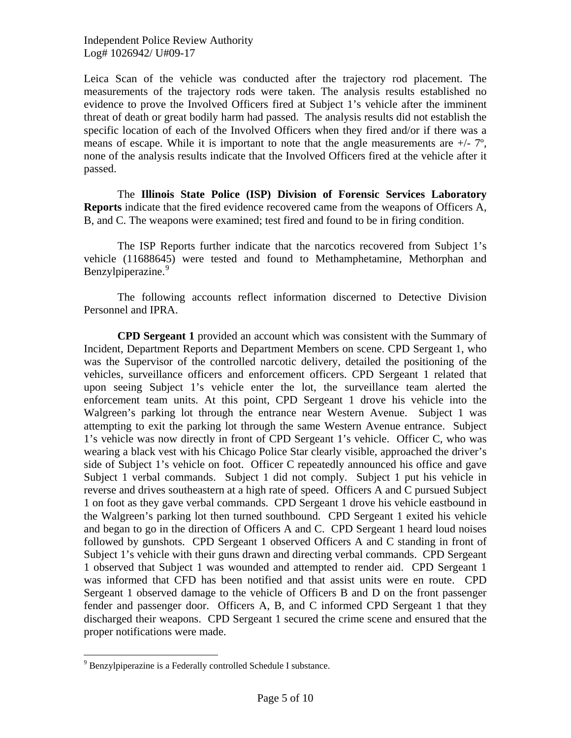Independent Police Review Authority Log# 1026942/ U#09-17

Leica Scan of the vehicle was conducted after the trajectory rod placement. The measurements of the trajectory rods were taken. The analysis results established no evidence to prove the Involved Officers fired at Subject 1's vehicle after the imminent threat of death or great bodily harm had passed. The analysis results did not establish the specific location of each of the Involved Officers when they fired and/or if there was a means of escape. While it is important to note that the angle measurements are  $+/-7$ °, none of the analysis results indicate that the Involved Officers fired at the vehicle after it passed.

 The **Illinois State Police (ISP) Division of Forensic Services Laboratory Reports** indicate that the fired evidence recovered came from the weapons of Officers A, B, and C. The weapons were examined; test fired and found to be in firing condition.

 The ISP Reports further indicate that the narcotics recovered from Subject 1's vehicle (11688645) were tested and found to Methamphetamine, Methorphan and Benzylpiperazine.<sup>[9](#page-4-0)</sup>

 The following accounts reflect information discerned to Detective Division Personnel and IPRA.

**CPD Sergeant 1** provided an account which was consistent with the Summary of Incident, Department Reports and Department Members on scene. CPD Sergeant 1, who was the Supervisor of the controlled narcotic delivery, detailed the positioning of the vehicles, surveillance officers and enforcement officers. CPD Sergeant 1 related that upon seeing Subject 1's vehicle enter the lot, the surveillance team alerted the enforcement team units. At this point, CPD Sergeant 1 drove his vehicle into the Walgreen's parking lot through the entrance near Western Avenue. Subject 1 was attempting to exit the parking lot through the same Western Avenue entrance. Subject 1's vehicle was now directly in front of CPD Sergeant 1's vehicle. Officer C, who was wearing a black vest with his Chicago Police Star clearly visible, approached the driver's side of Subject 1's vehicle on foot. Officer C repeatedly announced his office and gave Subject 1 verbal commands. Subject 1 did not comply. Subject 1 put his vehicle in reverse and drives southeastern at a high rate of speed. Officers A and C pursued Subject 1 on foot as they gave verbal commands. CPD Sergeant 1 drove his vehicle eastbound in the Walgreen's parking lot then turned southbound. CPD Sergeant 1 exited his vehicle and began to go in the direction of Officers A and C. CPD Sergeant 1 heard loud noises followed by gunshots. CPD Sergeant 1 observed Officers A and C standing in front of Subject 1's vehicle with their guns drawn and directing verbal commands. CPD Sergeant 1 observed that Subject 1 was wounded and attempted to render aid. CPD Sergeant 1 was informed that CFD has been notified and that assist units were en route. CPD Sergeant 1 observed damage to the vehicle of Officers B and D on the front passenger fender and passenger door. Officers A, B, and C informed CPD Sergeant 1 that they discharged their weapons. CPD Sergeant 1 secured the crime scene and ensured that the proper notifications were made.

 $\overline{a}$ 

<span id="page-4-0"></span><sup>&</sup>lt;sup>9</sup> Benzylpiperazine is a Federally controlled Schedule I substance.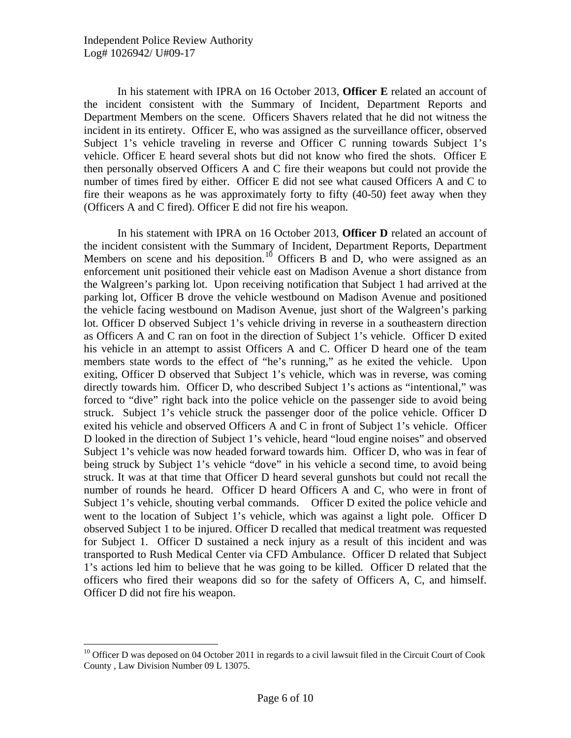$\overline{a}$ 

In his statement with IPRA on 16 October 2013, **Officer E** related an account of the incident consistent with the Summary of Incident, Department Reports and Department Members on the scene. Officers Shavers related that he did not witness the incident in its entirety. Officer E, who was assigned as the surveillance officer, observed Subject 1's vehicle traveling in reverse and Officer C running towards Subject 1's vehicle. Officer E heard several shots but did not know who fired the shots. Officer E then personally observed Officers A and C fire their weapons but could not provide the number of times fired by either. Officer E did not see what caused Officers A and C to fire their weapons as he was approximately forty to fifty (40-50) feet away when they (Officers A and C fired). Officer E did not fire his weapon.

 In his statement with IPRA on 16 October 2013, **Officer D** related an account of the incident consistent with the Summary of Incident, Department Reports, Department Members on scene and his deposition.<sup>[10](#page-5-0)</sup> Officers B and D, who were assigned as an enforcement unit positioned their vehicle east on Madison Avenue a short distance from the Walgreen's parking lot. Upon receiving notification that Subject 1 had arrived at the parking lot, Officer B drove the vehicle westbound on Madison Avenue and positioned the vehicle facing westbound on Madison Avenue, just short of the Walgreen's parking lot. Officer D observed Subject 1's vehicle driving in reverse in a southeastern direction as Officers A and C ran on foot in the direction of Subject 1's vehicle. Officer D exited his vehicle in an attempt to assist Officers A and C. Officer D heard one of the team members state words to the effect of "he's running," as he exited the vehicle. Upon exiting, Officer D observed that Subject 1's vehicle, which was in reverse, was coming directly towards him. Officer D, who described Subject 1's actions as "intentional," was forced to "dive" right back into the police vehicle on the passenger side to avoid being struck. Subject 1's vehicle struck the passenger door of the police vehicle. Officer D exited his vehicle and observed Officers A and C in front of Subject 1's vehicle. Officer D looked in the direction of Subject 1's vehicle, heard "loud engine noises" and observed Subject 1's vehicle was now headed forward towards him. Officer D, who was in fear of being struck by Subject 1's vehicle "dove" in his vehicle a second time, to avoid being struck. It was at that time that Officer D heard several gunshots but could not recall the number of rounds he heard. Officer D heard Officers A and C, who were in front of Subject 1's vehicle, shouting verbal commands. Officer D exited the police vehicle and went to the location of Subject 1's vehicle, which was against a light pole. Officer D observed Subject 1 to be injured. Officer D recalled that medical treatment was requested for Subject 1. Officer D sustained a neck injury as a result of this incident and was transported to Rush Medical Center via CFD Ambulance. Officer D related that Subject 1's actions led him to believe that he was going to be killed. Officer D related that the officers who fired their weapons did so for the safety of Officers A, C, and himself. Officer D did not fire his weapon.

<span id="page-5-0"></span><sup>&</sup>lt;sup>10</sup> Officer D was deposed on 04 October 2011 in regards to a civil lawsuit filed in the Circuit Court of Cook County , Law Division Number 09 L 13075.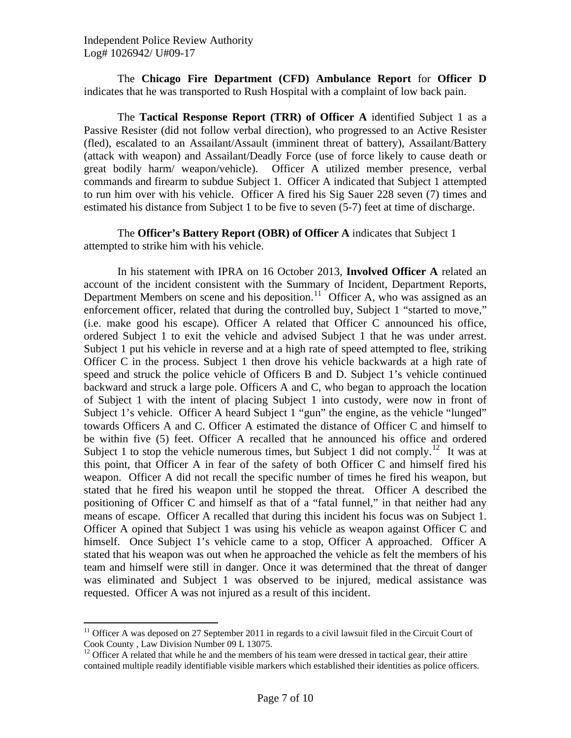The **Chicago Fire Department (CFD) Ambulance Report** for **Officer D**  indicates that he was transported to Rush Hospital with a complaint of low back pain.

 The **Tactical Response Report (TRR) of Officer A** identified Subject 1 as a Passive Resister (did not follow verbal direction), who progressed to an Active Resister (fled), escalated to an Assailant/Assault (imminent threat of battery), Assailant/Battery (attack with weapon) and Assailant/Deadly Force (use of force likely to cause death or great bodily harm/ weapon/vehicle). Officer A utilized member presence, verbal commands and firearm to subdue Subject 1. Officer A indicated that Subject 1 attempted to run him over with his vehicle. Officer A fired his Sig Sauer 228 seven (7) times and estimated his distance from Subject 1 to be five to seven (5-7) feet at time of discharge.

 The **Officer's Battery Report (OBR) of Officer A** indicates that Subject 1 attempted to strike him with his vehicle.

 In his statement with IPRA on 16 October 2013, **Involved Officer A** related an account of the incident consistent with the Summary of Incident, Department Reports, Department Members on scene and his deposition.<sup>[11](#page-6-0)</sup> Officer A, who was assigned as an enforcement officer, related that during the controlled buy, Subject 1 "started to move," (i.e. make good his escape). Officer A related that Officer C announced his office, ordered Subject 1 to exit the vehicle and advised Subject 1 that he was under arrest. Subject 1 put his vehicle in reverse and at a high rate of speed attempted to flee, striking Officer C in the process. Subject 1 then drove his vehicle backwards at a high rate of speed and struck the police vehicle of Officers B and D. Subject 1's vehicle continued backward and struck a large pole. Officers A and C, who began to approach the location of Subject 1 with the intent of placing Subject 1 into custody, were now in front of Subject 1's vehicle. Officer A heard Subject 1 "gun" the engine, as the vehicle "lunged" towards Officers A and C. Officer A estimated the distance of Officer C and himself to be within five (5) feet. Officer A recalled that he announced his office and ordered Subject 1 to stop the vehicle numerous times, but Subject 1 did not comply.<sup>[12](#page-6-1)</sup> It was at this point, that Officer A in fear of the safety of both Officer C and himself fired his weapon. Officer A did not recall the specific number of times he fired his weapon, but stated that he fired his weapon until he stopped the threat. Officer A described the positioning of Officer C and himself as that of a "fatal funnel," in that neither had any means of escape. Officer A recalled that during this incident his focus was on Subject 1. Officer A opined that Subject 1 was using his vehicle as weapon against Officer C and himself. Once Subject 1's vehicle came to a stop, Officer A approached. Officer A stated that his weapon was out when he approached the vehicle as felt the members of his team and himself were still in danger. Once it was determined that the threat of danger was eliminated and Subject 1 was observed to be injured, medical assistance was requested. Officer A was not injured as a result of this incident.

 $\overline{a}$ 

<span id="page-6-0"></span><sup>&</sup>lt;sup>11</sup> Officer A was deposed on 27 September 2011 in regards to a civil lawsuit filed in the Circuit Court of Cook County , Law Division Number 09 L 13075.

<span id="page-6-1"></span> $12$  Officer A related that while he and the members of his team were dressed in tactical gear, their attire contained multiple readily identifiable visible markers which established their identities as police officers.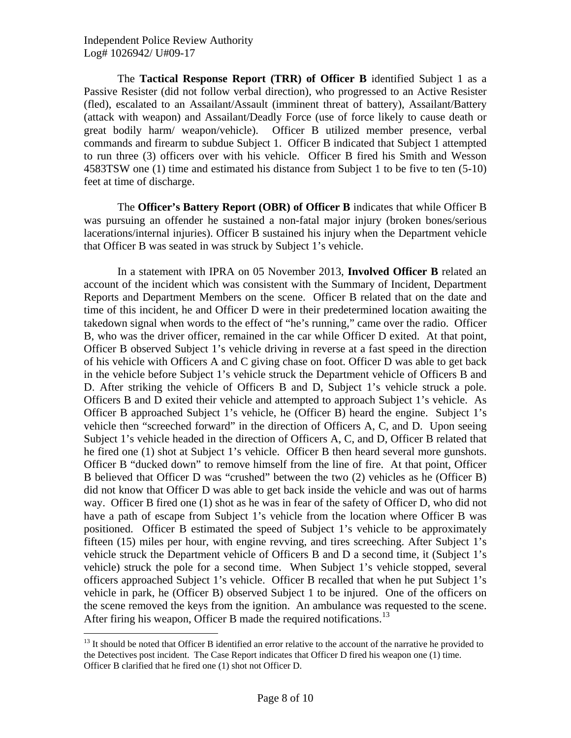$\overline{a}$ 

 The **Tactical Response Report (TRR) of Officer B** identified Subject 1 as a Passive Resister (did not follow verbal direction), who progressed to an Active Resister (fled), escalated to an Assailant/Assault (imminent threat of battery), Assailant/Battery (attack with weapon) and Assailant/Deadly Force (use of force likely to cause death or great bodily harm/ weapon/vehicle). Officer B utilized member presence, verbal commands and firearm to subdue Subject 1. Officer B indicated that Subject 1 attempted to run three (3) officers over with his vehicle. Officer B fired his Smith and Wesson 4583TSW one (1) time and estimated his distance from Subject 1 to be five to ten (5-10) feet at time of discharge.

 The **Officer's Battery Report (OBR) of Officer B** indicates that while Officer B was pursuing an offender he sustained a non-fatal major injury (broken bones/serious lacerations/internal injuries). Officer B sustained his injury when the Department vehicle that Officer B was seated in was struck by Subject 1's vehicle.

 In a statement with IPRA on 05 November 2013, **Involved Officer B** related an account of the incident which was consistent with the Summary of Incident, Department Reports and Department Members on the scene. Officer B related that on the date and time of this incident, he and Officer D were in their predetermined location awaiting the takedown signal when words to the effect of "he's running," came over the radio. Officer B, who was the driver officer, remained in the car while Officer D exited. At that point, Officer B observed Subject 1's vehicle driving in reverse at a fast speed in the direction of his vehicle with Officers A and C giving chase on foot. Officer D was able to get back in the vehicle before Subject 1's vehicle struck the Department vehicle of Officers B and D. After striking the vehicle of Officers B and D, Subject 1's vehicle struck a pole. Officers B and D exited their vehicle and attempted to approach Subject 1's vehicle. As Officer B approached Subject 1's vehicle, he (Officer B) heard the engine. Subject 1's vehicle then "screeched forward" in the direction of Officers A, C, and D. Upon seeing Subject 1's vehicle headed in the direction of Officers A, C, and D, Officer B related that he fired one (1) shot at Subject 1's vehicle. Officer B then heard several more gunshots. Officer B "ducked down" to remove himself from the line of fire. At that point, Officer B believed that Officer D was "crushed" between the two (2) vehicles as he (Officer B) did not know that Officer D was able to get back inside the vehicle and was out of harms way. Officer B fired one (1) shot as he was in fear of the safety of Officer D, who did not have a path of escape from Subject 1's vehicle from the location where Officer B was positioned. Officer B estimated the speed of Subject 1's vehicle to be approximately fifteen (15) miles per hour, with engine revving, and tires screeching. After Subject 1's vehicle struck the Department vehicle of Officers B and D a second time, it (Subject 1's vehicle) struck the pole for a second time. When Subject 1's vehicle stopped, several officers approached Subject 1's vehicle. Officer B recalled that when he put Subject 1's vehicle in park, he (Officer B) observed Subject 1 to be injured. One of the officers on the scene removed the keys from the ignition. An ambulance was requested to the scene. After firing his weapon, Officer B made the required notifications.<sup>[13](#page-7-0)</sup>

<span id="page-7-0"></span><sup>&</sup>lt;sup>13</sup> It should be noted that Officer B identified an error relative to the account of the narrative he provided to the Detectives post incident. The Case Report indicates that Officer D fired his weapon one (1) time. Officer B clarified that he fired one (1) shot not Officer D.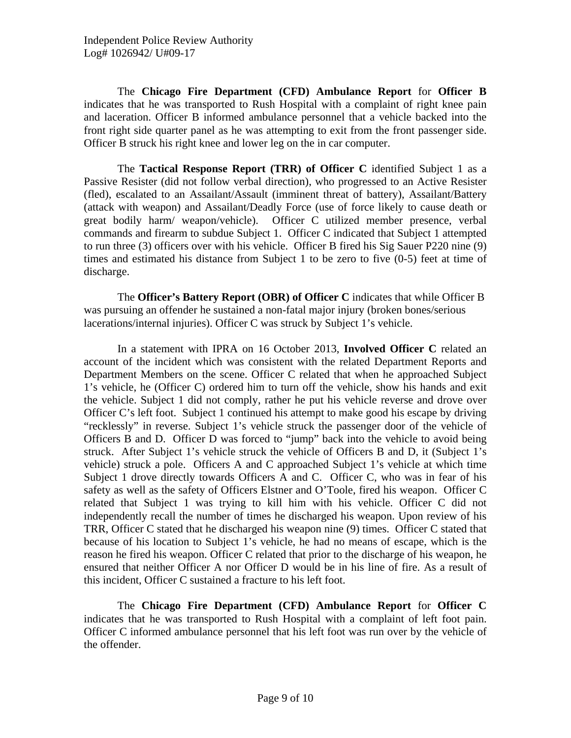The **Chicago Fire Department (CFD) Ambulance Report** for **Officer B**  indicates that he was transported to Rush Hospital with a complaint of right knee pain and laceration. Officer B informed ambulance personnel that a vehicle backed into the front right side quarter panel as he was attempting to exit from the front passenger side. Officer B struck his right knee and lower leg on the in car computer.

 The **Tactical Response Report (TRR) of Officer C** identified Subject 1 as a Passive Resister (did not follow verbal direction), who progressed to an Active Resister (fled), escalated to an Assailant/Assault (imminent threat of battery), Assailant/Battery (attack with weapon) and Assailant/Deadly Force (use of force likely to cause death or great bodily harm/ weapon/vehicle). Officer C utilized member presence, verbal commands and firearm to subdue Subject 1. Officer C indicated that Subject 1 attempted to run three (3) officers over with his vehicle. Officer B fired his Sig Sauer P220 nine (9) times and estimated his distance from Subject 1 to be zero to five (0-5) feet at time of discharge.

 The **Officer's Battery Report (OBR) of Officer C** indicates that while Officer B was pursuing an offender he sustained a non-fatal major injury (broken bones/serious lacerations/internal injuries). Officer C was struck by Subject 1's vehicle.

 In a statement with IPRA on 16 October 2013, **Involved Officer C** related an account of the incident which was consistent with the related Department Reports and Department Members on the scene. Officer C related that when he approached Subject 1's vehicle, he (Officer C) ordered him to turn off the vehicle, show his hands and exit the vehicle. Subject 1 did not comply, rather he put his vehicle reverse and drove over Officer C's left foot. Subject 1 continued his attempt to make good his escape by driving "recklessly" in reverse. Subject 1's vehicle struck the passenger door of the vehicle of Officers B and D. Officer D was forced to "jump" back into the vehicle to avoid being struck. After Subject 1's vehicle struck the vehicle of Officers B and D, it (Subject 1's vehicle) struck a pole. Officers A and C approached Subject 1's vehicle at which time Subject 1 drove directly towards Officers A and C. Officer C, who was in fear of his safety as well as the safety of Officers Elstner and O'Toole, fired his weapon. Officer C related that Subject 1 was trying to kill him with his vehicle. Officer C did not independently recall the number of times he discharged his weapon. Upon review of his TRR, Officer C stated that he discharged his weapon nine (9) times. Officer C stated that because of his location to Subject 1's vehicle, he had no means of escape, which is the reason he fired his weapon. Officer C related that prior to the discharge of his weapon, he ensured that neither Officer A nor Officer D would be in his line of fire. As a result of this incident, Officer C sustained a fracture to his left foot.

 The **Chicago Fire Department (CFD) Ambulance Report** for **Officer C**  indicates that he was transported to Rush Hospital with a complaint of left foot pain. Officer C informed ambulance personnel that his left foot was run over by the vehicle of the offender.